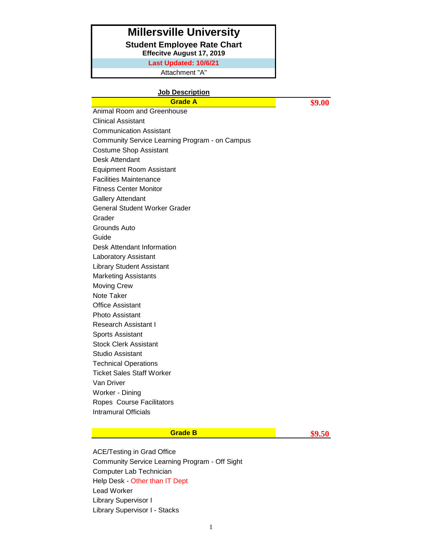### **Millersville University**

**Student Employee Rate Chart**

**Effecitve August 17, 2019**

**Last Updated: 10/6/21**

Attachment "A"

#### **Job Description**

**Grade A 89.00** Animal Room and Greenhouse Clinical Assistant Communication Assistant Community Service Learning Program - on Campus Costume Shop Assistant Desk Attendant Equipment Room Assistant Facilities Maintenance Fitness Center Monitor Gallery Attendant General Student Worker Grader Grader Grounds Auto Guide Desk Attendant Information Laboratory Assistant Library Student Assistant Marketing Assistants Moving Crew Note Taker Office Assistant Photo Assistant Research Assistant I Sports Assistant Stock Clerk Assistant Studio Assistant Technical Operations Ticket Sales Staff Worker Van Driver Worker - Dining Ropes Course Facilitators Intramural Officials

### **Grade B \$9.50**

ACE/Testing in Grad Office Community Service Learning Program - Off Sight Computer Lab Technician Help Desk - Other than IT Dept Lead Worker Library Supervisor I Library Supervisor I - Stacks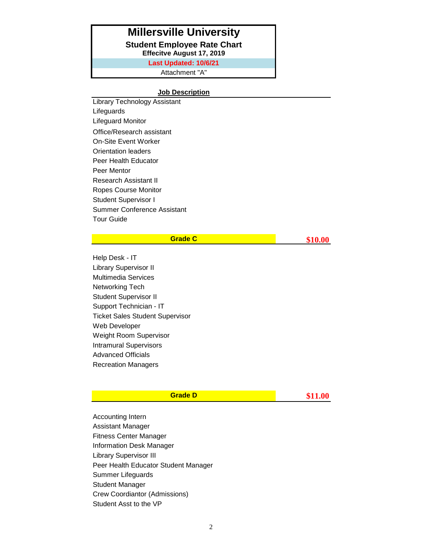## **Millersville University**

**Student Employee Rate Chart**

**Effecitve August 17, 2019**

**Last Updated: 10/6/21**

Attachment "A"

### **Job Description**

Library Technology Assistant Lifeguards Lifeguard Monitor Office/Research assistant On-Site Event Worker Orientation leaders Peer Health Educator Peer Mentor Research Assistant II Ropes Course Monitor Student Supervisor I Summer Conference Assistant Tour Guide

| <b>Grade C</b> | \$10.00 |
|----------------|---------|
|----------------|---------|

Help Desk - IT Library Supervisor II Multimedia Services Networking Tech Student Supervisor II Support Technician - IT Ticket Sales Student Supervisor Web Developer Weight Room Supervisor Intramural Supervisors Advanced Officials Recreation Managers

| Grade D | \$11.00 |
|---------|---------|
|---------|---------|

Accounting Intern Assistant Manager Fitness Center Manager Information Desk Manager Library Supervisor III Peer Health Educator Student Manager Summer Lifeguards Student Manager Crew Coordiantor (Admissions) Student Asst to the VP